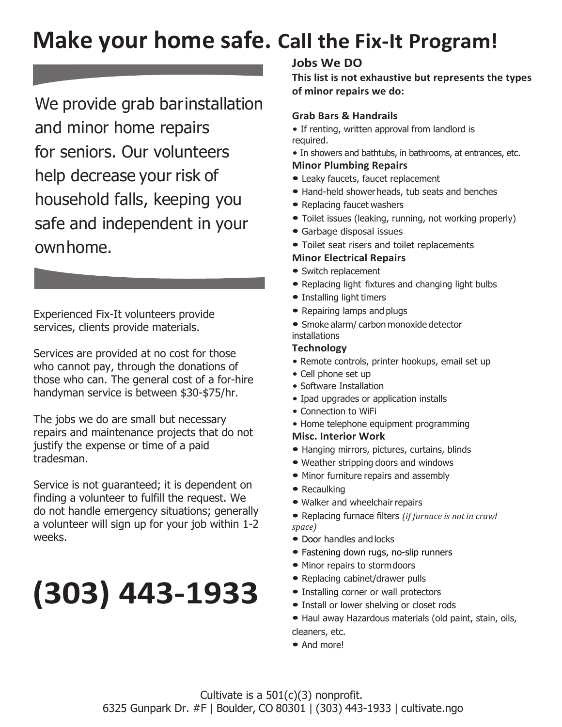# **Make your home safe. Call the Fix-It Program!**

We provide grab barinstallation and minor home repairs for seniors. Our volunteers help decrease your risk of household falls, keeping you safe and independent in your ownhome.

Experienced Fix-It volunteers provide services, clients provide materials.

Services are provided at no cost for those who cannot pay, through the donations of those who can. The general cost of a for-hire handyman service is between \$30-\$75/hr.

The jobs we do are small but necessary repairs and maintenance projects that do not justify the expense or time of a paid tradesman.

Service is not guaranteed; it is dependent on finding a volunteer to fulfill the request. We do not handle emergency situations; generally a volunteer will sign up for your job within 1-2 weeks.

# **(303) 443-1933**

# **Jobs We DO**

**This list is not exhaustive but represents the types of minor repairs we do:**

# **Grab Bars & Handrails**

- *•* If renting, written approval from landlord is required.
- *•* In showers and bathtubs, in bathrooms, at entrances, etc. **Minor Plumbing Repairs**
- Leaky faucets, faucet replacement
- Hand-held showerheads, tub seats and benches
- Replacing faucet washers
- Toilet issues (leaking, running, not working properly)
- Garbage disposal issues
- Toilet seat risers and toilet replacements

#### **Minor Electrical Repairs**

- Switch replacement
- Replacing light fixtures and changing light bulbs
- Installing light timers
- Repairing lamps and plugs
- Smoke alarm/ carbon monoxide detector installations

#### **Technology**

- *•* Remote controls, printer hookups, email set up
- *•* Cell phone set up
- *•* Software Installation
- *•* Ipad upgrades or application installs
- *•* Connection to WiFi
- *•* Home telephone equipment programming

# **Misc. Interior Work**

- Hanging mirrors, pictures, curtains, blinds
- Weather stripping doors and windows
- Minor furniture repairs and assembly
- Recaulking
- Walker and wheelchair repairs
- Replacing furnace filters *(if furnace is notin crawl space)*
- Door handles and locks
- Fastening down rugs, no-slip runners
- Minor repairs to stormdoors
- Replacing cabinet/drawer pulls
- Installing corner or wall protectors
- Install or lower shelving or closet rods
- Haul away Hazardous materials (old paint, stain, oils, cleaners, etc.
- And more!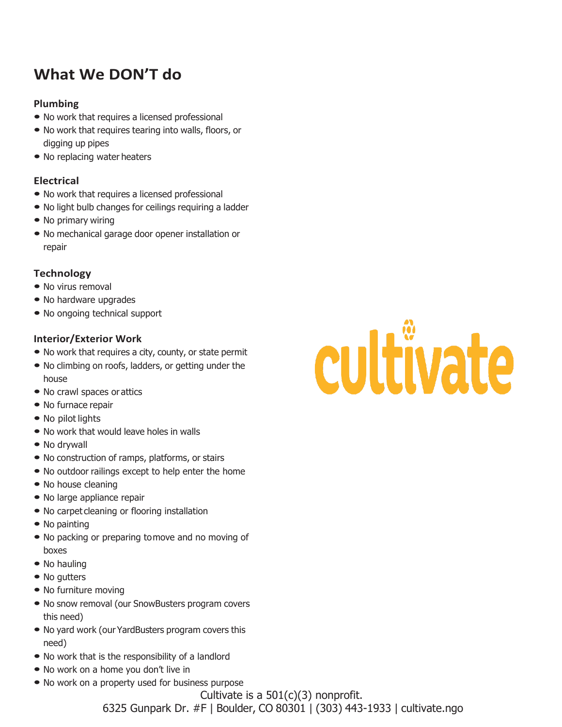# **What We DON'T do**

# **Plumbing**

- No work that requires <sup>a</sup> licensed professional
- No work that requires tearing into walls, floors, or digging up pipes
- No replacing water heaters

# **Electrical**

- No work that requires <sup>a</sup> licensed professional
- No light bulb changes for ceilings requiring <sup>a</sup> ladder
- No primary wiring
- No mechanical garage door opener installation or repair

## **Technology**

- No virus removal
- No hardware upgrades
- No ongoing technical support

## **Interior/Exterior Work**

- No work that requires <sup>a</sup> city, county, or state permit
- No climbing on roofs, ladders, or getting under the house
- No crawl spaces or attics
- No furnace repair
- No pilot lights
- No work that would leave holes in walls
- No drywall
- No construction of ramps, platforms, or stairs
- No outdoor railings except to help enter the home
- No house cleaning
- No large appliance repair
- No carpet cleaning or flooring installation
- No painting
- No packing or preparing tomove and no moving of boxes
- No hauling
- No gutters
- No furniture moving
- No snow removal (our SnowBusters program covers this need)
- No yard work (our YardBusters program covers this need)
- No work that is the responsibility of a landlord
- No work on a home you don't live in
- No work on a property used for business purpose

# cultivate

Cultivate is a  $501(c)(3)$  nonprofit. 6325 Gunpark Dr. #F | Boulder, CO 80301 | (303) 443-1933 | cultivate.ngo